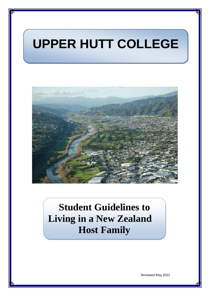# **UPPER HUTT COLLEGE**



## **Student Guidelines to Living in a New Zealand Host Family**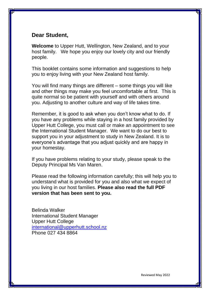### **Dear Student,**

**Welcome** to Upper Hutt, Wellington, New Zealand, and to your host family. We hope you enjoy our lovely city and our friendly people.

This booklet contains some information and suggestions to help you to enjoy living with your New Zealand host family.

You will find many things are different – some things you will like and other things may make you feel uncomfortable at first. This is quite normal so be patient with yourself and with others around you. Adjusting to another culture and way of life takes time.

Remember, it is good to ask when you don't know what to do. If you have any problems while staying in a host family provided by Upper Hutt College, you must call or make an appointment to see the International Student Manager. We want to do our best to support you in your adjustment to study in New Zealand. It is to everyone's advantage that you adjust quickly and are happy in your homestay.

If you have problems relating to your study, please speak to the Deputy Principal Ms Van Maren.

Please read the following information carefully; this will help you to understand what is provided for you and also what we expect of you living in our host families. **Please also read the full PDF version that has been sent to you.**

Belinda Walker International Student Manager Upper Hutt College [international@upperhutt.school.nz](mailto:walkerb@upperhutt.school.nz) Phone 027 434 8864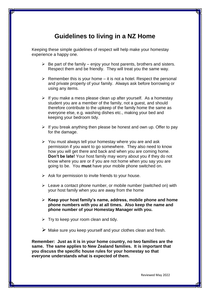## **Guidelines to living in a NZ Home**

Keeping these simple guidelines of respect will help make your homestay experience a happy one.

- $\triangleright$  Be part of the family enjoy your host parents, brothers and sisters. Respect them and be friendly. They will treat you the same way.
- $\triangleright$  Remember this is your home it is not a hotel. Respect the personal and private property of your family. Always ask before borrowing or using any items.
- $\triangleright$  If you make a mess please clean up after yourself. As a homestay student you are a member of the family, not a guest, and should therefore contribute to the upkeep of the family home the same as everyone else, e.g. washing dishes etc., making your bed and keeping your bedroom tidy.
- $\triangleright$  If you break anything then please be honest and own up. Offer to pay for the damage.
- $\triangleright$  You must always tell your homestay where you are and ask permission if you want to go somewhere. They also need to know how you will get there and back and when you are coming home. **Don't be late!** Your host family may worry about you if they do not know where you are or if you are not home when you say you are going to be. You **must** have your mobile phone switched on.
- $\triangleright$  Ask for permission to invite friends to your house.
- $\triangleright$  Leave a contact phone number, or mobile number (switched on) with your host family when you are away from the home
- **Keep your host family's name, address, mobile phone and home phone numbers with you at all times. Also keep the name and phone number of your Homestay Manager with you.**
- $\triangleright$  Try to keep your room clean and tidy.
- $\triangleright$  Make sure you keep yourself and your clothes clean and fresh.

**Remember: Just as it is in your home country, no two families are the same. The same applies to New Zealand families. It is important that you discuss the specific house rules for your homestay so that everyone understands what is expected of them.**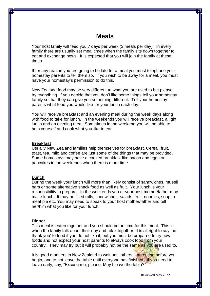## **Meals**

Your host family will feed you 7 days per week (3 meals per day). In every family there are usually set meal times when the family sits down together to eat and exchange news. It is expected that you will join the family at these times.

If for any reason you are going to be late for a meal you must telephone your homestay parents to tell them so. If you wish to be away for a meal, you must have your homestay's permission to do this.

New Zealand food may be very different to what you are used to but please try everything. If you decide that you don't like some things tell your homestay family so that they can give you something different. Tell your homestay parents what food you would like for your lunch each day.

You will receive breakfast and an evening meal during the week days along with food to take for lunch. In the weekends you will receive breakfast, a light lunch and an evening meal. Sometimes in the weekend you will be able to help yourself and cook what you like to eat.

#### **Breakfast**

Usually New Zealand families help themselves for breakfast. Cereal, fruit, toast, tea, milo and coffee are just some of the things that may be provided. Some homestays may have a cooked breakfast like bacon and eggs or pancakes in the weekends when there is more time.

#### **Lunch**

During the week your lunch will more than likely consist of sandwiches, muesli bars or some alternative snack food as well as fruit. Your lunch is your responsibility to prepare. In the weekends you or your host mother/father may make lunch. It may be filled rolls, sandwiches, salads, fruit, noodles, soup, a meat pie etc. You may need to speak to your host mother/father and tell her/him what you like for your lunch.

#### **Dinner**

This meal is eaten together and you should be on time for this meal. This is when the family talk about their day and relax together. It is all right to say 'no thank you' to food if you do not like it, but you must be prepared to try new foods and not expect your host parents to always cook food from your country. They may try but it will probably not be the same as you are used to.

It is good manners in New Zealand to wait until others start eating before you begin, and to not leave the table until everyone has finished. If you need to leave early, say, "Excuse me, please. May I leave the table?"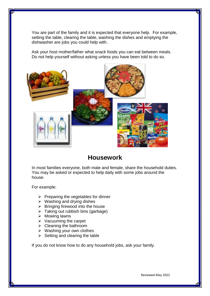You are part of the family and it is expected that everyone help. For example, setting the table, clearing the table, washing the dishes and emptying the dishwasher are jobs you could help with.

Ask your host mother/father what snack foods you can eat between meals. Do not help yourself without asking unless you have been told to do so.



## **Housework**

In most families everyone, both male and female, share the household duties. You may be asked or expected to help daily with some jobs around the house.

For example:

- $\triangleright$  Preparing the vegetables for dinner
- $\triangleright$  Washing and drying dishes
- $\triangleright$  Bringing firewood into the house
- $\triangleright$  Taking out rubbish bins (garbage)
- $\triangleright$  Mowing lawns
- $\triangleright$  Vacuuming the carpet
- $\triangleright$  Cleaning the bathroom
- $\triangleright$  Washing your own clothes
- $\triangleright$  Setting and clearing the table

If you do not know how to do any household jobs, ask your family.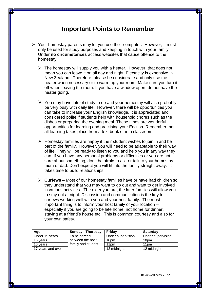## **Important Points to Remember**

- $\triangleright$  Your homestay parents may let you use their computer. However, it must only be used for study purposes and keeping in touch with your family. Under **no circumstances** access websites that cause offence to the homestay.
	- $\triangleright$  The homestay will supply you with a heater. However, that does not mean you can leave it on all day and night. Electricity is expensive in New Zealand. Therefore, please be considerate and only use the heater when necessary or to warm up your room. Make sure you turn it off when leaving the room. If you have a window open, do not have the heater going.
	- $\triangleright$  You may have lots of study to do and your homestay will also probably be very busy with daily life. However, there will be opportunities you can take to increase your English knowledge. It is appreciated and considered polite if students help with household chores such as the dishes or preparing the evening meal. These times are wonderful opportunities for learning and practising your English. Remember, not all learning takes place from a text book or in a classroom.
	- $\triangleright$  Homestay families are happy if their student wishes to join in and be part of the family. However, you will need to be adaptable to their way of life. They will be ready to listen to you and help you in any way they can. If you have any personal problems or difficulties or you are not sure about something, don't be afraid to ask or talk to your homestay mum or dad. Don't expect you will fit into the family straight away. It takes time to build relationships.
	- **Curfews** Most of our homestay families have or have had children so they understand that you may want to go out and want to get involved in various activities. The older you are, the later families will allow you to stay out at night. Discussion and communication is the key to curfews working well with you and your host family. The most important thing is to inform your host family of your location – especially if you are going to be late home, not home for dinner, staying at a friend's house etc. This is common courtesy and also for your own safety.

| Age               | <b>Sunday - Thursday</b> | Fridav            | <b>Saturday</b>   |
|-------------------|--------------------------|-------------------|-------------------|
| Under 15 years    | To be agreed             | Under supervision | Under supervision |
| 15 vears          | between the host         | 10pm              | 10 <sub>pm</sub>  |
| 16 vears          | family and student       | 11 <sub>pm</sub>  | 11 <sub>pm</sub>  |
| 17 years and over |                          | 12 midnight       | 12 midnight       |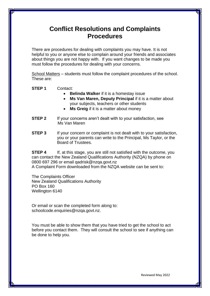## **Conflict Resolutions and Complaints Procedures**

There are procedures for dealing with complaints you may have. It is not helpful to you or anyone else to complain around your friends and associates about things you are not happy with. If you want changes to be made you must follow the procedures for dealing with your concerns.

School Matters – students must follow the complaint procedures of the school. These are:

**STEP 1** Contact:

- **Belinda Walker** if it is a homestay issue
- **Ms Van Maren, Deputy Principal** if it is a matter about your subjects, teachers or other students
- **Ms Greig** if it is a matter about money
- **STEP 2** If your concerns aren't dealt with to your satisfaction, see Ms Van Maren
- **STEP 3** If your concern or complaint is not dealt with to your satisfaction, you or your parents can write to the Principal, Ms Taylor, or the Board of Trustees.

**STEP 4** If, at this stage, you are still not satisfied with the outcome, you can contact the New Zealand Qualifications Authority (NZQA) by phone on 0800 697 296 or email qadrisk@nzqa.govt.nz A Complaint Form downloaded from the NZQA website can be sent to:

The Complaints Officer New Zealand Qualifications Authority PO Box 160 Wellington 6140

Or email or scan the completed form along to: schoolcode.enquiries@nzqa.govt.nz.

You must be able to show them that you have tried to get the school to act before you contact them. They will consult the school to see if anything can be done to help you.